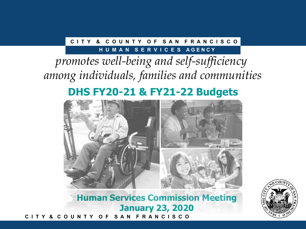### **C I T Y & C O U N T Y O F S A N F R A N C I S C O**

### **H U M A N S E R V I C E S A G E N C Y**

# *promotes well-being and self-sufficiency among individuals, families and communities*

## **DHS FY20-21 & FY21-22 Budgets**



**C I T Y & C O U N T Y O F S A N F R A N C I S C O Human Services Commission Meeting January 23, 2020**

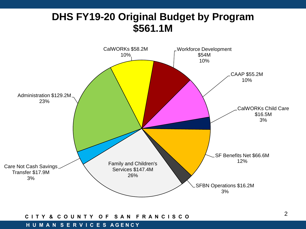### **DHS FY19-20 Original Budget by Program \$561.1M**



#### **C I T Y & C O U N T Y O F S A N F R A N C I S C O**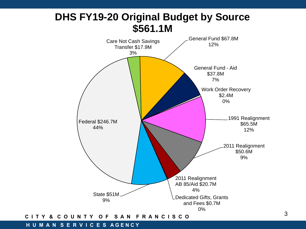

### **C I T Y & C O U N T Y O F S A N F R A N C I S C O**

#### **H U M A N S E R V I C E S A G E N C Y**

3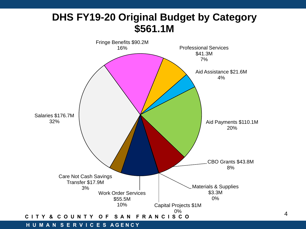### **DHS FY19-20 Original Budget by Category \$561.1M**



4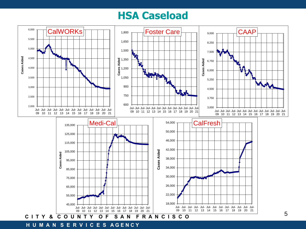### **HSA Caseload**



**H U M A N S E R V I C E S A G E N C Y**

5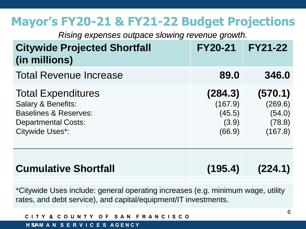# **Mayor's FY20-21 & FY21-22 Budget Projections**

*Rising expenses outpace slowing revenue growth.*

| <b>Citywide Projected Shortfall</b><br>(in millions)                                                                                                   | <b>FY20-21</b>                                  | <b>FY21-22</b>                                    |
|--------------------------------------------------------------------------------------------------------------------------------------------------------|-------------------------------------------------|---------------------------------------------------|
| <b>Total Revenue Increase</b>                                                                                                                          | 89.0                                            | 346.0                                             |
| <b>Total Expenditures</b><br><b>Salary &amp; Benefits:</b><br><b>Baselines &amp; Reserves:</b><br><b>Departmental Costs:</b><br><b>Citywide Uses*:</b> | (284.3)<br>(167.9)<br>(45.5)<br>(3.9)<br>(66.9) | (570.1)<br>(269.6)<br>(54.0)<br>(78.8)<br>(167.8) |
| <b>Cumulative Shortfall</b>                                                                                                                            | (195.4)                                         | (224.1)                                           |

\*Citywide Uses include: general operating increases (e.g. minimum wage, utility rates, and debt service), and capital/equipment/IT investments.

| CITY & COUNTY OF SAN FRANCISCO           |  |  |
|------------------------------------------|--|--|
| <b>H SJAM A N S E R V I C E S AGENCY</b> |  |  |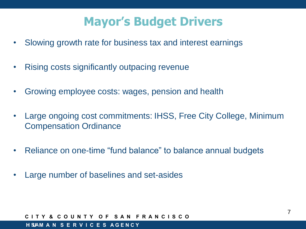# **Mayor's Budget Drivers**

- Slowing growth rate for business tax and interest earnings
- Rising costs significantly outpacing revenue
- Growing employee costs: wages, pension and health
- Large ongoing cost commitments: IHSS, Free City College, Minimum Compensation Ordinance
- Reliance on one-time "fund balance" to balance annual budgets
- Large number of baselines and set-asides

#### **C I T Y & C O U N T Y O F S A N F R A N C I S C O**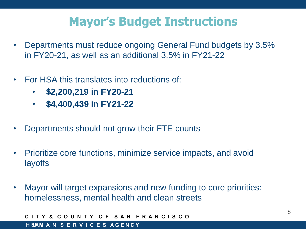# **Mayor's Budget Instructions**

- Departments must reduce ongoing General Fund budgets by 3.5% in FY20-21, as well as an additional 3.5% in FY21-22
- For HSA this translates into reductions of:
	- **\$2,200,219 in FY20-21**
	- **\$4,400,439 in FY21-22**
- Departments should not grow their FTE counts
- Prioritize core functions, minimize service impacts, and avoid 36% layoffs
- Mayor will target expansions and new funding to core priorities: homelessness, mental health and clean streets

**C I T Y & C O U N T Y O F S A N F R A N C I S C O H U M A N S E R V I C E S A G E N C Y H SA**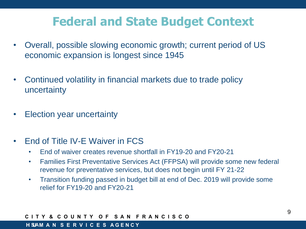# **Federal and State Budget Context**

- Overall, possible slowing economic growth; current period of US economic expansion is longest since 1945
- Continued volatility in financial markets due to trade policy uncertainty
- Election year uncertainty
- End of Title IV-E Waiver in FCS
	- End of waiver creates revenue shortfall in FY19-20 and FY20-21
	- Families First Preventative Services Act (FFPSA) will provide some new federal revenue for preventative services, but does not begin until FY 21-22
	- Transition funding passed in budget bill at end of Dec. 2019 will provide some relief for FY19-20 and FY20-21

#### **C I T Y & C O U N T Y O F S A N F R A N C I S C O**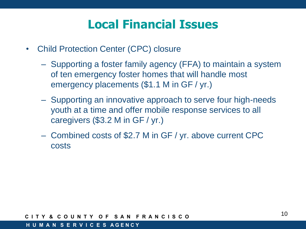# **Local Financial Issues**

- Child Protection Center (CPC) closure
	- Supporting a foster family agency (FFA) to maintain a system of ten emergency foster homes that will handle most emergency placements (\$1.1 M in GF / yr.)
	- Supporting an innovative approach to serve four high-needs youth at a time and offer mobile response services to all caregivers (\$3.2 M in GF / yr.)
	- Combined costs of \$2.7 M in GF / yr. above current CPC costs

#### **C I T Y & C O U N T Y O F S A N F R A N C I S C O**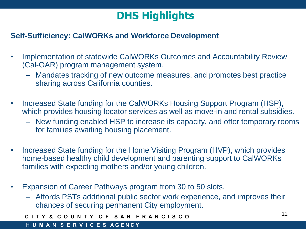### **Self-Sufficiency: CalWORKs and Workforce Development**

- Implementation of statewide CalWORKs Outcomes and Accountability Review (Cal-OAR) program management system.
	- Mandates tracking of new outcome measures, and promotes best practice sharing across California counties.
- Increased State funding for the CalWORKs Housing Support Program (HSP), which provides housing locator services as well as move-in and rental subsidies.
	- New funding enabled HSP to increase its capacity, and offer temporary rooms for families awaiting housing placement.
- Increased State funding for the Home Visiting Program (HVP), which provides home-based healthy child development and parenting support to CalWORKs families with expecting mothers and/or young children.
- Expansion of Career Pathways program from 30 to 50 slots.
	- Affords PSTs additional public sector work experience, and improves their chances of securing permanent City employment.

```
C I T Y & C O U N T Y O F S A N F R A N C I S C O
```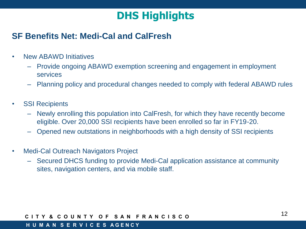### **SF Benefits Net: Medi-Cal and CalFresh**

- New ABAWD Initiatives
	- Provide ongoing ABAWD exemption screening and engagement in employment services
	- Planning policy and procedural changes needed to comply with federal ABAWD rules
- SSI Recipients
	- Newly enrolling this population into CalFresh, for which they have recently become eligible. Over 20,000 SSI recipients have been enrolled so far in FY19-20.
	- Opened new outstations in neighborhoods with a high density of SSI recipients
- Medi-Cal Outreach Navigators Project
	- Secured DHCS funding to provide Medi-Cal application assistance at community sites, navigation centers, and via mobile staff.

### **C I T Y & C O U N T Y O F S A N F R A N C I S C O**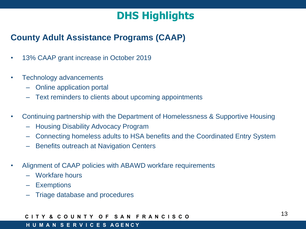### **County Adult Assistance Programs (CAAP)**

- 13% CAAP grant increase in October 2019
- Technology advancements
	- Online application portal
	- Text reminders to clients about upcoming appointments
- Continuing partnership with the Department of Homelessness & Supportive Housing
	- Housing Disability Advocacy Program
	- Connecting homeless adults to HSA benefits and the Coordinated Entry System
	- Benefits outreach at Navigation Centers
- Alignment of CAAP policies with ABAWD workfare requirements
	- Workfare hours
	- Exemptions
	- Triage database and procedures

### **C I T Y & C O U N T Y O F S A N F R A N C I S C O**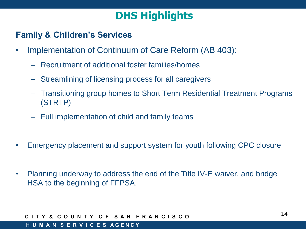### **Family & Children's Services**

- Implementation of Continuum of Care Reform (AB 403):
	- Recruitment of additional foster families/homes
	- Streamlining of licensing process for all caregivers
	- Transitioning group homes to Short Term Residential Treatment Programs (STRTP)
	- Full implementation of child and family teams
- Emergency placement and support system for youth following CPC closure
- Planning underway to address the end of the Title IV-E waiver, and bridge HSA to the beginning of FFPSA.

### **C I T Y & C O U N T Y O F S A N F R A N C I S C O**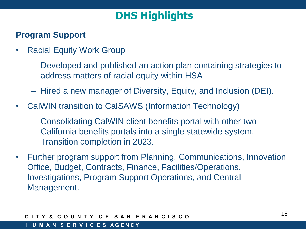### **Program Support**

- Racial Equity Work Group
	- Developed and published an action plan containing strategies to address matters of racial equity within HSA
	- Hired a new manager of Diversity, Equity, and Inclusion (DEI).
- CalWIN transition to CalSAWS (Information Technology)
	- Consolidating CalWIN client benefits portal with other two California benefits portals into a single statewide system. Transition completion in 2023.
- Further program support from Planning, Communications, Innovation Office, Budget, Contracts, Finance, Facilities/Operations, Investigations, Program Support Operations, and Central Management.